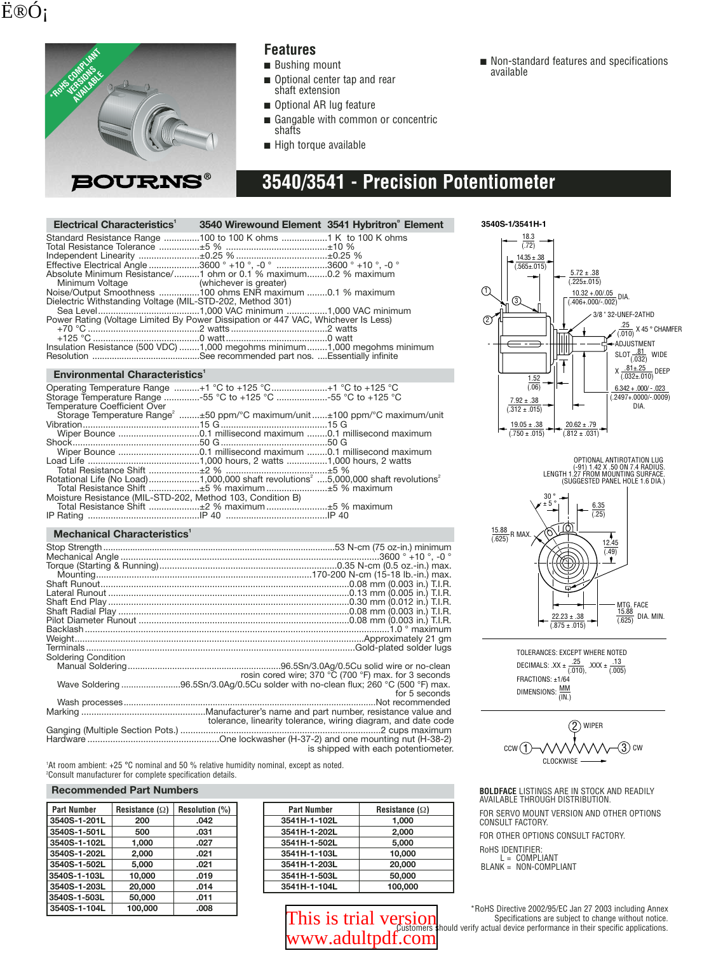## Ë®Ó;



### **Features**

- Bushing mount
- Optional center tap and rear shaft extension
- Optional AR lug feature
- Gangable with common or concentric shafts
- High torque available

## **3540/3541 - Precision Potentiometer**

| Electrical Characteristics <sup>1</sup>                                                                                             | 3540 Wirewound Element 3541 Hybritron Element |  |
|-------------------------------------------------------------------------------------------------------------------------------------|-----------------------------------------------|--|
| Standard Resistance Range 100 to 100 K ohms 1 K to 100 K ohms                                                                       |                                               |  |
|                                                                                                                                     |                                               |  |
| Effective Electrical Angle 3600 ° +10 °, -0 ° 3600 ° +10 °, -0 °<br>Absolute Minimum Resistance/1 ohm or 0.1 % maximum0.2 % maximum |                                               |  |
| Minimum Voltage (whichever is greater)                                                                                              |                                               |  |
| Noise/Output Smoothness 100 ohms ENR maximum 0.1 % maximum<br>Dielectric Withstanding Voltage (MIL-STD-202, Method 301)             |                                               |  |
|                                                                                                                                     |                                               |  |
| Power Rating (Voltage Limited By Power Dissipation or 447 VAC, Whichever Is Less)                                                   |                                               |  |
| Insulation Resistance (500 VDC) 1,000 megohms minimum 1,000 megohms minimum                                                         |                                               |  |
|                                                                                                                                     |                                               |  |

#### **Environmental Characteristics**<sup>1</sup>

| Operating Temperature Range +1 °C to +125 °C +1 °C to +125 °C<br>Storage Temperature Range 55 °C to +125 °C 55 °C to +125 °C<br><b>Temperature Coefficient Over</b> |  |
|---------------------------------------------------------------------------------------------------------------------------------------------------------------------|--|
| Storage Temperature Range <sup>2</sup> ±50 ppm/°C maximum/unit ±100 ppm/°C maximum/unit                                                                             |  |
|                                                                                                                                                                     |  |
|                                                                                                                                                                     |  |
|                                                                                                                                                                     |  |
|                                                                                                                                                                     |  |
|                                                                                                                                                                     |  |
|                                                                                                                                                                     |  |
| Rotational Life (No Load) 1,000,000 shaft revolutions <sup>2</sup> 5,000,000 shaft revolutions <sup>2</sup>                                                         |  |
|                                                                                                                                                                     |  |
| Moisture Resistance (MIL-STD-202, Method 103, Condition B)                                                                                                          |  |
| Total Resistance Shift ±2 % maximum ±5 % maximum                                                                                                                    |  |
|                                                                                                                                                                     |  |

#### **Mechanical Characteristics**<sup>1</sup>

| Soldering Condition |                                                                                   |
|---------------------|-----------------------------------------------------------------------------------|
|                     |                                                                                   |
|                     | rosin cored wire; 370 °C (700 °F) max. for 3 seconds                              |
|                     | Wave Soldering 96.5Sn/3.0Ag/0.5Cu solder with no-clean flux; 260 °C (500 °F) max. |
|                     | for 5 seconds                                                                     |
|                     |                                                                                   |
|                     |                                                                                   |
|                     | tolerance, linearity tolerance, wiring diagram, and date code                     |
|                     |                                                                                   |
|                     |                                                                                   |
|                     | is shipped with each potentiometer.                                               |

1 At room ambient: +25 °C nominal and 50 % relative humidity nominal, except as noted. 2 Consult manufacturer for complete specification details.

#### **Recommended Part Numbers**

| <b>Part Number</b> | Resistance $(\Omega)$ | Resolution (%) |
|--------------------|-----------------------|----------------|
| 3540S-1-201L       | 200                   | .042           |
| 3540S-1-501L       | 500                   | .031           |
| 3540S-1-102L       | 1.000                 | .027           |
| 3540S-1-202L       | 2.000                 | .021           |
| 3540S-1-502L       | 5.000                 | .021           |
| 3540S-1-103L       | 10.000                | .019           |
| 3540S-1-203L       | 20.000                | .014           |
| 3540S-1-503L       | 50,000                | .011           |
| 3540S-1-104L       | 100.000               | .008           |

| <b>Part Number</b> | Resistance $(\Omega)$ |
|--------------------|-----------------------|
| 3541H-1-102L       | 1,000                 |
| 3541H-1-202L       | 2.000                 |
| 3541H-1-502L       | 5.000                 |
| 3541H-1-103L       | 10.000                |
| 3541H-1-203L       | 20,000                |
| 3541H-1-503L       | 50,000                |
| 3541H-1-104L       | 100,000               |

# WWW.adultpdf.com

■ Non-standard features and specifications available



OPTIONAL ANTIROTATION LUG<br>(91) 1.42 X .50 ON 7.4 RADIUS.<br>LENGTH 1.27 FROM MOUNTING SURFACE.<br>(SUGGESTED PANEL HOLE 1.6 DIA.)



TOLERANCES: EXCEPT WHERE NOTED DECIMALS:  $XX \pm \frac{.25}{(.010)}$ ,  $XXX \pm \frac{.13}{(.005)}$ FRACTIONS: ±1/64 DIMENSIONS:  $\frac{MM}{(IN.)}$ 



**BOLDFACE** LISTINGS ARE IN STOCK AND READILY AVAILABLE THROUGH DISTRIBUTION.

FOR SERVO MOUNT VERSION AND OTHER OPTIONS CONSULT FACTORY.

FOR OTHER OPTIONS CONSULT FACTORY.

RoHS IDENTIFIER:

L = COMPLIANT BLANK = NON-COMPLIANT

\*RoHS Directive 2002/95/EC Jan 27 2003 including Annex Specifications are subject to change without notice. [This is trial version](http://www.adultpdf.com) Specifications are subject to change without notice.